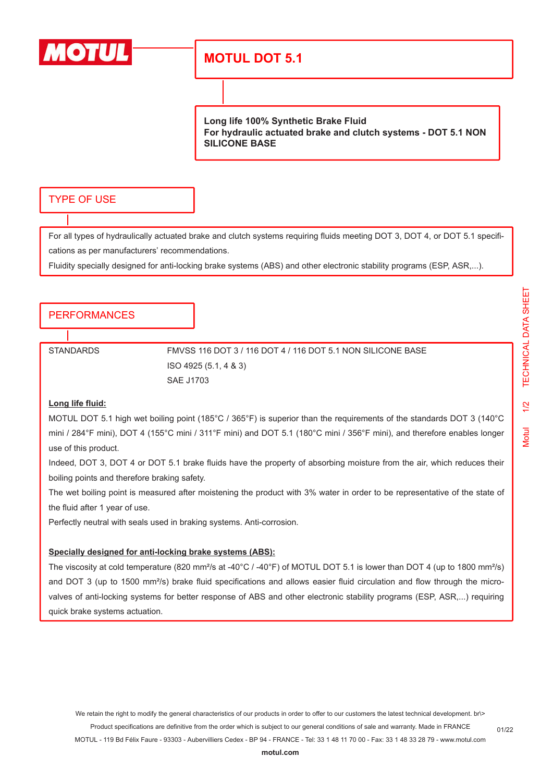

# **MOTUL DOT 5.1**

**Long life 100% Synthetic Brake Fluid For hydraulic actuated brake and clutch systems - DOT 5.1 NON SILICONE BASE**

## TYPE OF USE

For all types of hydraulically actuated brake and clutch systems requiring fluids meeting DOT 3, DOT 4, or DOT 5.1 specifications as per manufacturers' recommendations.

Fluidity specially designed for anti-locking brake systems (ABS) and other electronic stability programs (ESP, ASR,...).

### PERFORMANCES

STANDARDS FMVSS 116 DOT 3 / 116 DOT 4 / 116 DOT 5.1 NON SILICONE BASE ISO 4925 (5.1, 4 & 3) SAE J1703

#### **Long life fluid:**

MOTUL DOT 5.1 high wet boiling point (185°C / 365°F) is superior than the requirements of the standards DOT 3 (140°C mini / 284°F mini), DOT 4 (155°C mini / 311°F mini) and DOT 5.1 (180°C mini / 356°F mini), and therefore enables longer use of this product.

Indeed, DOT 3, DOT 4 or DOT 5.1 brake fluids have the property of absorbing moisture from the air, which reduces their boiling points and therefore braking safety.

The wet boiling point is measured after moistening the product with 3% water in order to be representative of the state of the fluid after 1 year of use.

Perfectly neutral with seals used in braking systems. Anti-corrosion.

#### **Specially designed for anti-locking brake systems (ABS):**

The viscosity at cold temperature (820 mm<sup>2</sup>/s at -40°C / -40°F) of MOTUL DOT 5.1 is lower than DOT 4 (up to 1800 mm<sup>2</sup>/s) and DOT 3 (up to 1500 mm<sup>2</sup>/s) brake fluid specifications and allows easier fluid circulation and flow through the microvalves of anti-locking systems for better response of ABS and other electronic stability programs (ESP, ASR,...) requiring quick brake systems actuation.

01/22